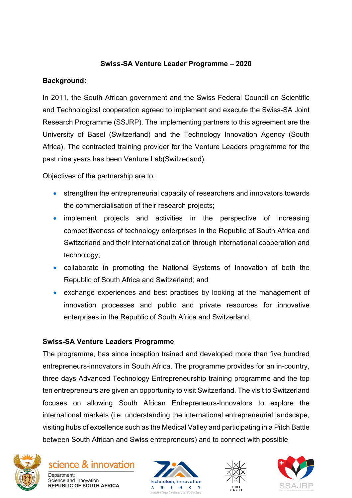## **Swiss-SA Venture Leader Programme – 2020**

## **Background:**

In 2011, the South African government and the Swiss Federal Council on Scientific and Technological cooperation agreed to implement and execute the Swiss-SA Joint Research Programme (SSJRP). The implementing partners to this agreement are the University of Basel (Switzerland) and the Technology Innovation Agency (South Africa). The contracted training provider for the Venture Leaders programme for the past nine years has been Venture Lab(Switzerland).

Objectives of the partnership are to:

- strengthen the entrepreneurial capacity of researchers and innovators towards the commercialisation of their research projects;
- implement projects and activities in the perspective of increasing competitiveness of technology enterprises in the Republic of South Africa and Switzerland and their internationalization through international cooperation and technology;
- collaborate in promoting the National Systems of Innovation of both the Republic of South Africa and Switzerland; and
- exchange experiences and best practices by looking at the management of innovation processes and public and private resources for innovative enterprises in the Republic of South Africa and Switzerland.

## **Swiss-SA Venture Leaders Programme**

The programme, has since inception trained and developed more than five hundred entrepreneurs-innovators in South Africa. The programme provides for an in-country, three days Advanced Technology Entrepreneurship training programme and the top ten entrepreneurs are given an opportunity to visit Switzerland. The visit to Switzerland focuses on allowing South African Entrepreneurs-Innovators to explore the international markets (i.e. understanding the international entrepreneurial landscape, visiting hubs of excellence such as the Medical Valley and participating in a Pitch Battle between South African and Swiss entrepreneurs) and to connect with possible



science & innovation Department: Science and Innovation **REPUBLIC OF SOUTH AFRICA** 





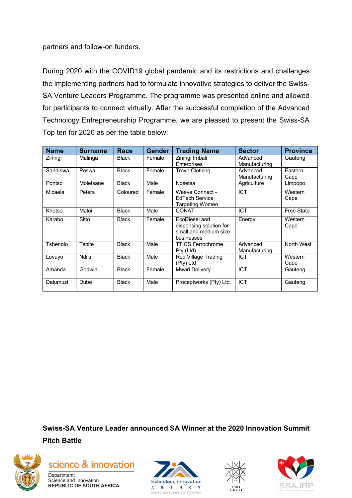partners and follow-on funders.

During 2020 with the COVID19 global pandemic and its restrictions and challenges the implementing partners had to formulate innovative strategies to deliver the Swiss-SA Venture Leaders Programme. The programme was presented online and allowed for participants to connect virtually. After the successful completion of the Advanced Technology Entrepreneurship Programme, we are pleased to present the Swiss-SA Top ten for 2020 as per the table below:

| <b>Name</b> | <b>Surname</b> | <b>Race</b>  | <b>Gender</b> | <b>Trading Name</b>                                                             | <b>Sector</b>             | <b>Province</b>   |
|-------------|----------------|--------------|---------------|---------------------------------------------------------------------------------|---------------------------|-------------------|
| Ziningi     | Malinga        | <b>Black</b> | Female        | Ziningi Imbali<br>Enterprises                                                   | Advanced<br>Manufacturing | Gauteng           |
| Sandiswa    | Poswa          | <b>Black</b> | Female        | <b>Trove Clothing</b>                                                           | Advanced<br>Manufacturing | Eastern<br>Cape   |
| Pontso      | Moletsane      | <b>Black</b> | Male          | Nosetsa                                                                         | Agriculture               | Limpopo           |
| Micaela     | Peters         | Coloured     | Female        | Weave Connect -<br>EdTech Service<br><b>Targeting Women</b>                     | ICT                       | Western<br>Cape   |
| Khotso      | Maloi          | <b>Black</b> | Male          | <b>CONAT</b>                                                                    | ICT                       | <b>Free State</b> |
| Karabo      | Sitto          | <b>Black</b> | Female        | EcoDiesel and<br>dispensing solution for<br>small and medium size<br>businesses | Energy                    | Western<br>Cape   |
| Tshenolo    | <b>Tshite</b>  | <b>Black</b> | Male          | TTICS Ferrochrome<br>Pty (Ltd)                                                  | Advanced<br>Manufacturing | North West        |
| Luvuyo      | Ndiki          | <b>Black</b> | Male          | <b>Red Village Trading</b><br>(Pty) Ltd                                         | <b>ICT</b>                | Western<br>Cape   |
| Amanda      | Godwin         | <b>Black</b> | Female        | Mwari Delivery                                                                  | ICT                       | Gauteng           |
| Dalumuzi    | <b>Dube</b>    | <b>Black</b> | Male          | Proceptworks (Pty) Ltd.                                                         | <b>ICT</b>                | Gauteng           |

**Swiss-SA Venture Leader announced SA Winner at the 2020 Innovation Summit**

**Pitch Battle**